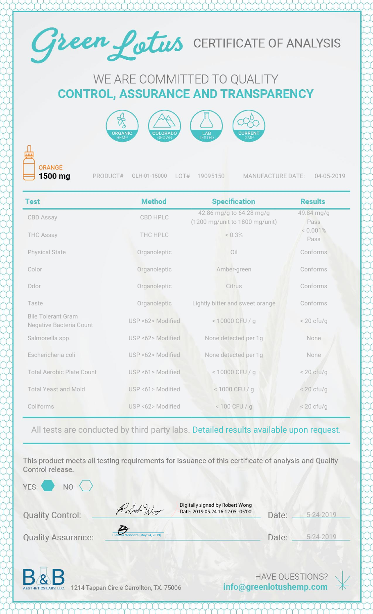

## WE ARE COMMITTED TO QUALITY **CONTROL, ASSURANCE AND TRANSPARENCY**



ORANGE 1500 mg

PRODUCT# GLH-01-15000 LOT# 19095150 MANUFACTURE DATE: 04-05-2019

| <b>Test</b>                                          | <b>Method</b>     | <b>Specification</b>                                       | <b>Results</b>       |
|------------------------------------------------------|-------------------|------------------------------------------------------------|----------------------|
| <b>CBD Assay</b>                                     | CBD HPLC          | 42.86 mg/g to 64.28 mg/g<br>(1200 mg/unit to 1800 mg/unit) | 49.84 mg/g<br>Pass   |
| <b>THC Assay</b>                                     | THC HPLC          | < 0.3%                                                     | $< 0.001\%$<br>Pass  |
| <b>Physical State</b>                                | Organoleptic      | Oil                                                        | Conforms             |
| Color                                                | Organoleptic      | Amber-green                                                | Conforms             |
| Odor                                                 | Organoleptic      | Citrus                                                     | Conforms             |
| Taste                                                | Organoleptic      | Lightly bitter and sweet orange                            | Conforms             |
| <b>Bile Tolerant Gram</b><br>Negative Bacteria Count | USP <62> Modified | < 10000 CFU / g                                            | $< 20$ cfu/g         |
| Salmonella spp.                                      | USP <62> Modified | None detected per 1g                                       | None                 |
| Eschericheria coli                                   | USP <62> Modified | None detected per 1g                                       | None                 |
| <b>Total Aerobic Plate Count</b>                     | USP <61> Modified | < 10000 CFU / g                                            | $< 20 \text{ cfu/g}$ |
| <b>Total Yeast and Mold</b>                          | USP <61> Modified | < 1000 CFU / g                                             | $< 20$ cfu/g         |
| Coliforms                                            | USP <62> Modified | $< 100$ CFU / g                                            | $< 20 \text{ cfu/g}$ |

All tests are conducted by third party labs. Detailed results available upon request.

This product meets all testing requirements for issuance of this certificate of analysis and Quality Control release.

YES<sup></sup>

**NO** 

**Quality Control:** 

Digitally signed by Robert Wong Date: 2019.05.24 16:12:05 -05'00'

5-24-2019 Date:

**Quality Assurance:** 

[Claudia Mendoza \(May 24, 2019\)](https://na2.documents.adobe.com/verifier?tx=CBJCHBCAABAAjmRhnSBy3TYu4tx7OBL68tVrfJ4Ci4Y_)

Robert-Wo

5-24-2019 Date: \_



1214 Tappan Circle Carrollton, TX. 75006

**HAVE QUESTIONS?** info@greenlotushemp.com